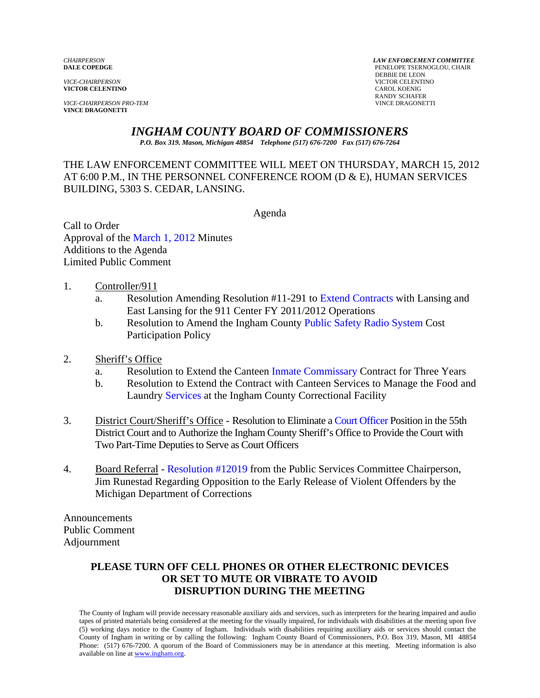**VICTOR CELENTINO** 

**VICE-CHAIRPERSON PRO-TEM VINCE DRAGONETTI** 

*CHAIRPERSON LAW ENFORCEMENT COMMITTEE* PENELOPE TSERNOGLOU, CHAIR **DEBBIE DE LEON<br>VICE-CHAIRPERSON VICTOR CELENTINO**<br>CAROL KOENIG RANDY SCHAFER<br>VINCE DRAGONETTI

# *INGHAM COUNTY BOARD OF COMMISSIONERS*

*P.O. Box 319. Mason, Michigan 48854 Telephone (517) 676-7200 Fax (517) 676-7264*

### THE LAW ENFORCEMENT COMMITTEE WILL MEET ON THURSDAY, MARCH 15, 2012 AT 6:00 P.M., IN THE PERSONNEL CONFERENCE ROOM (D & E), HUMAN SERVICES BUILDING, 5303 S. CEDAR, LANSING.

Agenda

Call to Order Approval of [the March 1, 2012 Minutes](#page-1-0)  Additions to the Agenda Limited Public Comment

- 1. Controller/911
	- a. Resolution Amending Resolution #11-291 [to Extend Contracts with La](#page-5-0)nsing and East Lansing for the 911 Center FY 2011/2012 Operations
	- b. Resolution to Amend the Ingham Coun[ty Public Safety Radio System Cost](#page-7-0)  Participation Policy
- 2. Sheriff's Office
	- a. Resolution to Extend the Cante[en Inmate Commissary Contract](#page-14-0) for Three Years
	- b. Resolution to Extend the Contract with Canteen Services to Manage the Food and La[undry Services at th](#page-15-0)e Ingham County Correctional Facility
- 3. District Court/Sheriff's Office Resolution to Elimina[te a Court Officer Position in th](#page-16-0)e 55th District Court and to Authorize the Ingham County Sheriff's Office to Provide the Court with Two Part-Time Deputies to Serve as Court Officers
- 4. Board Refer[ral Resolution #12019 from the P](#page-18-0)ublic Services Committee Chairperson, Jim Runestad Regarding Opposition to the Early Release of Violent Offenders by the Michigan Department of Corrections

Announcements Public Comment Adjournment

#### **PLEASE TURN OFF CELL PHONES OR OTHER ELECTRONIC DEVICES OR SET TO MUTE OR VIBRATE TO AVOID DISRUPTION DURING THE MEETING**

The County of Ingham will provide necessary reasonable auxiliary aids and services, such as interpreters for the hearing impaired and audio tapes of printed materials being considered at the meeting for the visually impaired, for individuals with disabilities at the meeting upon five (5) working days notice to the County of Ingham. Individuals with disabilities requiring auxiliary aids or services should contact the County of Ingham in writing or by calling the following: Ingham County Board of Commissioners, P.O. Box 319, Mason, MI 48854 Phone: (517) 676-7200. A quorum of the Board of Commissioners may be in attendance at this meeting. Meeting information is also available on line at www.ingham.org.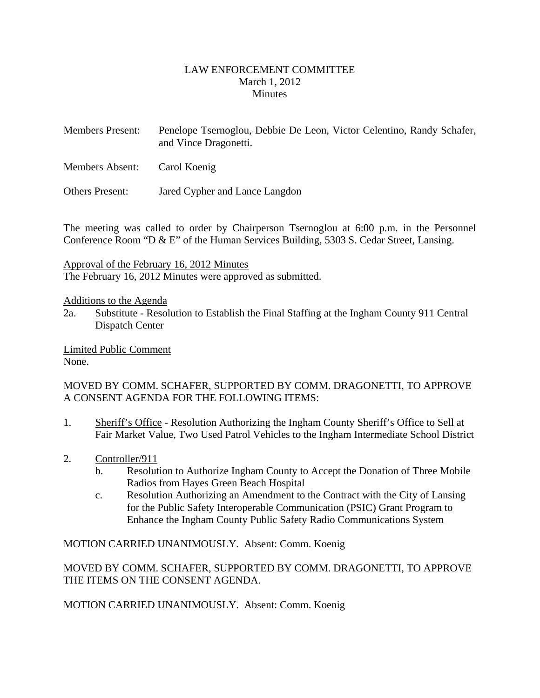#### LAW ENFORCEMENT COMMITTEE March 1, 2012 **Minutes**

- <span id="page-1-0"></span>Members Present: Penelope Tsernoglou, Debbie De Leon, Victor Celentino, Randy Schafer, and Vince Dragonetti.
- Members Absent: Carol Koenig

Others Present: Jared Cypher and Lance Langdon

The meeting was called to order by Chairperson Tsernoglou at 6:00 p.m. in the Personnel Conference Room "D & E" of the Human Services Building, 5303 S. Cedar Street, Lansing.

Approval of the February 16, 2012 Minutes

The February 16, 2012 Minutes were approved as submitted.

Additions to the Agenda

2a. Substitute - Resolution to Establish the Final Staffing at the Ingham County 911 Central Dispatch Center

Limited Public Comment None.

#### MOVED BY COMM. SCHAFER, SUPPORTED BY COMM. DRAGONETTI, TO APPROVE A CONSENT AGENDA FOR THE FOLLOWING ITEMS:

- 1. Sheriff's Office Resolution Authorizing the Ingham County Sheriff's Office to Sell at Fair Market Value, Two Used Patrol Vehicles to the Ingham Intermediate School District
- 2. Controller/911
	- b. Resolution to Authorize Ingham County to Accept the Donation of Three Mobile Radios from Hayes Green Beach Hospital
	- c. Resolution Authorizing an Amendment to the Contract with the City of Lansing for the Public Safety Interoperable Communication (PSIC) Grant Program to Enhance the Ingham County Public Safety Radio Communications System

MOTION CARRIED UNANIMOUSLY. Absent: Comm. Koenig

MOVED BY COMM. SCHAFER, SUPPORTED BY COMM. DRAGONETTI, TO APPROVE THE ITEMS ON THE CONSENT AGENDA.

MOTION CARRIED UNANIMOUSLY. Absent: Comm. Koenig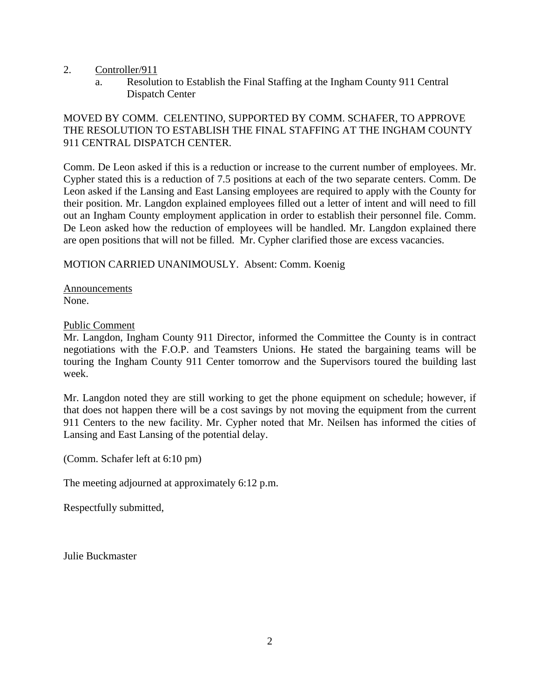- 2. Controller/911
	- a. Resolution to Establish the Final Staffing at the Ingham County 911 Central Dispatch Center

# MOVED BY COMM. CELENTINO, SUPPORTED BY COMM. SCHAFER, TO APPROVE THE RESOLUTION TO ESTABLISH THE FINAL STAFFING AT THE INGHAM COUNTY 911 CENTRAL DISPATCH CENTER.

Comm. De Leon asked if this is a reduction or increase to the current number of employees. Mr. Cypher stated this is a reduction of 7.5 positions at each of the two separate centers. Comm. De Leon asked if the Lansing and East Lansing employees are required to apply with the County for their position. Mr. Langdon explained employees filled out a letter of intent and will need to fill out an Ingham County employment application in order to establish their personnel file. Comm. De Leon asked how the reduction of employees will be handled. Mr. Langdon explained there are open positions that will not be filled. Mr. Cypher clarified those are excess vacancies.

### MOTION CARRIED UNANIMOUSLY. Absent: Comm. Koenig

Announcements None.

#### Public Comment

Mr. Langdon, Ingham County 911 Director, informed the Committee the County is in contract negotiations with the F.O.P. and Teamsters Unions. He stated the bargaining teams will be touring the Ingham County 911 Center tomorrow and the Supervisors toured the building last week.

Mr. Langdon noted they are still working to get the phone equipment on schedule; however, if that does not happen there will be a cost savings by not moving the equipment from the current 911 Centers to the new facility. Mr. Cypher noted that Mr. Neilsen has informed the cities of Lansing and East Lansing of the potential delay.

(Comm. Schafer left at 6:10 pm)

The meeting adjourned at approximately 6:12 p.m.

Respectfully submitted,

Julie Buckmaster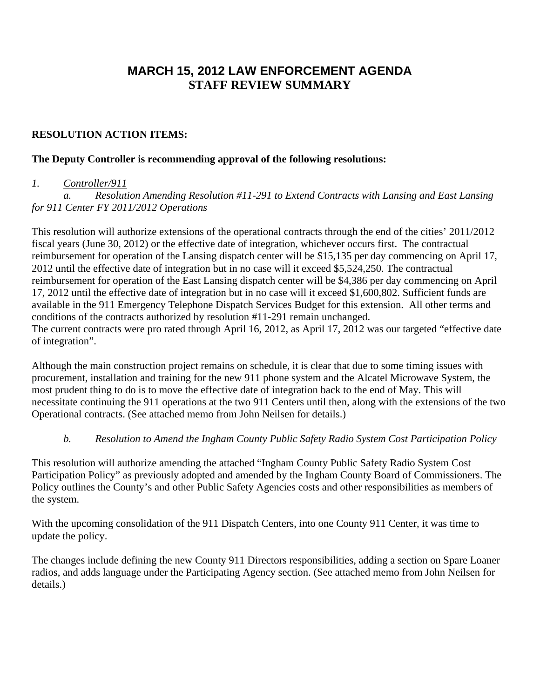# **MARCH 15, 2012 LAW ENFORCEMENT AGENDA STAFF REVIEW SUMMARY**

## **RESOLUTION ACTION ITEMS:**

#### **The Deputy Controller is recommending approval of the following resolutions:**

#### *1. Controller/911*

*a. Resolution Amending Resolution #11-291 to Extend Contracts with Lansing and East Lansing for 911 Center FY 2011/2012 Operations* 

This resolution will authorize extensions of the operational contracts through the end of the cities' 2011/2012 fiscal years (June 30, 2012) or the effective date of integration, whichever occurs first. The contractual reimbursement for operation of the Lansing dispatch center will be \$15,135 per day commencing on April 17, 2012 until the effective date of integration but in no case will it exceed \$5,524,250. The contractual reimbursement for operation of the East Lansing dispatch center will be \$4,386 per day commencing on April 17, 2012 until the effective date of integration but in no case will it exceed \$1,600,802. Sufficient funds are available in the 911 Emergency Telephone Dispatch Services Budget for this extension. All other terms and conditions of the contracts authorized by resolution #11-291 remain unchanged. The current contracts were pro rated through April 16, 2012, as April 17, 2012 was our targeted "effective date of integration".

Although the main construction project remains on schedule, it is clear that due to some timing issues with procurement, installation and training for the new 911 phone system and the Alcatel Microwave System, the most prudent thing to do is to move the effective date of integration back to the end of May. This will necessitate continuing the 911 operations at the two 911 Centers until then, along with the extensions of the two Operational contracts. (See attached memo from John Neilsen for details.)

### *b. Resolution to Amend the Ingham County Public Safety Radio System Cost Participation Policy*

This resolution will authorize amending the attached "Ingham County Public Safety Radio System Cost Participation Policy" as previously adopted and amended by the Ingham County Board of Commissioners. The Policy outlines the County's and other Public Safety Agencies costs and other responsibilities as members of the system.

With the upcoming consolidation of the 911 Dispatch Centers, into one County 911 Center, it was time to update the policy.

The changes include defining the new County 911 Directors responsibilities, adding a section on Spare Loaner radios, and adds language under the Participating Agency section. (See attached memo from John Neilsen for details.)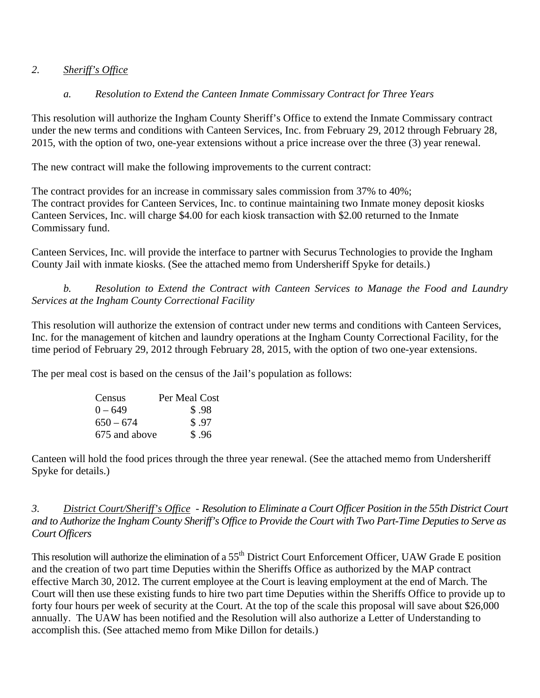## *2. Sheriff's Office*

# *a. Resolution to Extend the Canteen Inmate Commissary Contract for Three Years*

This resolution will authorize the Ingham County Sheriff's Office to extend the Inmate Commissary contract under the new terms and conditions with Canteen Services, Inc. from February 29, 2012 through February 28, 2015, with the option of two, one-year extensions without a price increase over the three (3) year renewal.

The new contract will make the following improvements to the current contract:

The contract provides for an increase in commissary sales commission from 37% to 40%; The contract provides for Canteen Services, Inc. to continue maintaining two Inmate money deposit kiosks Canteen Services, Inc. will charge \$4.00 for each kiosk transaction with \$2.00 returned to the Inmate Commissary fund.

Canteen Services, Inc. will provide the interface to partner with Securus Technologies to provide the Ingham County Jail with inmate kiosks. (See the attached memo from Undersheriff Spyke for details.)

*b. Resolution to Extend the Contract with Canteen Services to Manage the Food and Laundry Services at the Ingham County Correctional Facility* 

This resolution will authorize the extension of contract under new terms and conditions with Canteen Services, Inc. for the management of kitchen and laundry operations at the Ingham County Correctional Facility, for the time period of February 29, 2012 through February 28, 2015, with the option of two one-year extensions.

The per meal cost is based on the census of the Jail's population as follows:

| Census        | Per Meal Cost |
|---------------|---------------|
| $0 - 649$     | \$.98         |
| $650 - 674$   | \$.97         |
| 675 and above | \$.96         |

Canteen will hold the food prices through the three year renewal. (See the attached memo from Undersheriff Spyke for details.)

*3. District Court/Sheriff's Office - Resolution to Eliminate a Court Officer Position in the 55th District Court and to Authorize the Ingham County Sheriff's Office to Provide the Court with Two Part-Time Deputies to Serve as Court Officers* 

This resolution will authorize the elimination of a 55<sup>th</sup> District Court Enforcement Officer, UAW Grade E position and the creation of two part time Deputies within the Sheriffs Office as authorized by the MAP contract effective March 30, 2012. The current employee at the Court is leaving employment at the end of March. The Court will then use these existing funds to hire two part time Deputies within the Sheriffs Office to provide up to forty four hours per week of security at the Court. At the top of the scale this proposal will save about \$26,000 annually. The UAW has been notified and the Resolution will also authorize a Letter of Understanding to accomplish this. (See attached memo from Mike Dillon for details.)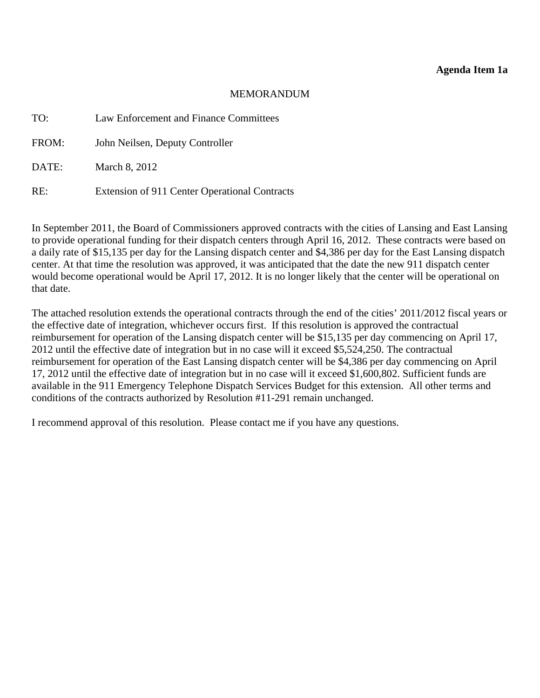#### **Agenda Item 1a**

#### MEMORANDUM

<span id="page-5-0"></span>

| TO:   | Law Enforcement and Finance Committees        |
|-------|-----------------------------------------------|
| FROM: | John Neilsen, Deputy Controller               |
| DATE: | March 8, 2012                                 |
| RE:   | Extension of 911 Center Operational Contracts |

In September 2011, the Board of Commissioners approved contracts with the cities of Lansing and East Lansing to provide operational funding for their dispatch centers through April 16, 2012. These contracts were based on a daily rate of \$15,135 per day for the Lansing dispatch center and \$4,386 per day for the East Lansing dispatch center. At that time the resolution was approved, it was anticipated that the date the new 911 dispatch center would become operational would be April 17, 2012. It is no longer likely that the center will be operational on that date.

The attached resolution extends the operational contracts through the end of the cities' 2011/2012 fiscal years or the effective date of integration, whichever occurs first. If this resolution is approved the contractual reimbursement for operation of the Lansing dispatch center will be \$15,135 per day commencing on April 17, 2012 until the effective date of integration but in no case will it exceed \$5,524,250. The contractual reimbursement for operation of the East Lansing dispatch center will be \$4,386 per day commencing on April 17, 2012 until the effective date of integration but in no case will it exceed \$1,600,802. Sufficient funds are available in the 911 Emergency Telephone Dispatch Services Budget for this extension. All other terms and conditions of the contracts authorized by Resolution #11-291 remain unchanged.

I recommend approval of this resolution. Please contact me if you have any questions.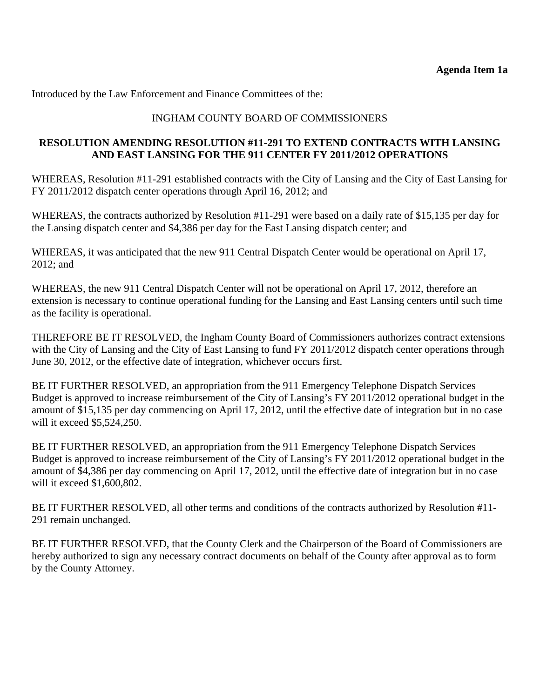## INGHAM COUNTY BOARD OF COMMISSIONERS

#### **RESOLUTION AMENDING RESOLUTION #11-291 TO EXTEND CONTRACTS WITH LANSING AND EAST LANSING FOR THE 911 CENTER FY 2011/2012 OPERATIONS**

WHEREAS, Resolution #11-291 established contracts with the City of Lansing and the City of East Lansing for FY 2011/2012 dispatch center operations through April 16, 2012; and

WHEREAS, the contracts authorized by Resolution #11-291 were based on a daily rate of \$15,135 per day for the Lansing dispatch center and \$4,386 per day for the East Lansing dispatch center; and

WHEREAS, it was anticipated that the new 911 Central Dispatch Center would be operational on April 17, 2012; and

WHEREAS, the new 911 Central Dispatch Center will not be operational on April 17, 2012, therefore an extension is necessary to continue operational funding for the Lansing and East Lansing centers until such time as the facility is operational.

THEREFORE BE IT RESOLVED, the Ingham County Board of Commissioners authorizes contract extensions with the City of Lansing and the City of East Lansing to fund FY 2011/2012 dispatch center operations through June 30, 2012, or the effective date of integration, whichever occurs first.

BE IT FURTHER RESOLVED, an appropriation from the 911 Emergency Telephone Dispatch Services Budget is approved to increase reimbursement of the City of Lansing's FY 2011/2012 operational budget in the amount of \$15,135 per day commencing on April 17, 2012, until the effective date of integration but in no case will it exceed \$5,524,250.

BE IT FURTHER RESOLVED, an appropriation from the 911 Emergency Telephone Dispatch Services Budget is approved to increase reimbursement of the City of Lansing's FY 2011/2012 operational budget in the amount of \$4,386 per day commencing on April 17, 2012, until the effective date of integration but in no case will it exceed \$1,600,802.

BE IT FURTHER RESOLVED, all other terms and conditions of the contracts authorized by Resolution #11- 291 remain unchanged.

BE IT FURTHER RESOLVED, that the County Clerk and the Chairperson of the Board of Commissioners are hereby authorized to sign any necessary contract documents on behalf of the County after approval as to form by the County Attorney.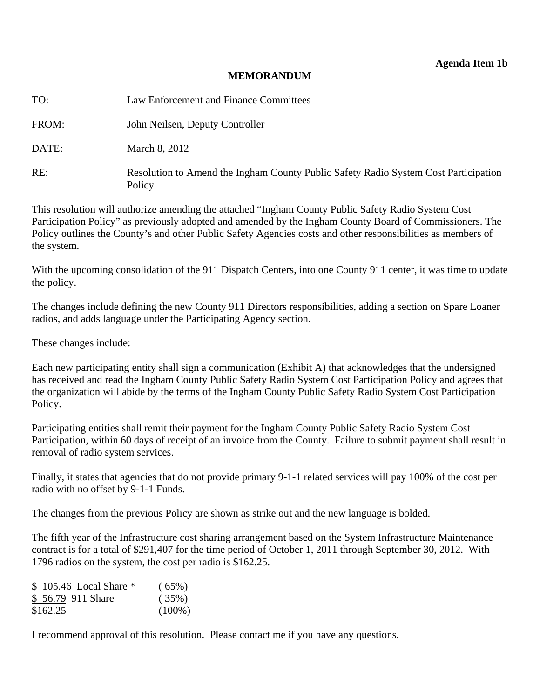#### **MEMORANDUM**

<span id="page-7-0"></span>

| TO:   | Law Enforcement and Finance Committees                                                        |
|-------|-----------------------------------------------------------------------------------------------|
| FROM: | John Neilsen, Deputy Controller                                                               |
| DATE: | March 8, 2012                                                                                 |
| RE:   | Resolution to Amend the Ingham County Public Safety Radio System Cost Participation<br>Policy |

This resolution will authorize amending the attached "Ingham County Public Safety Radio System Cost Participation Policy" as previously adopted and amended by the Ingham County Board of Commissioners. The Policy outlines the County's and other Public Safety Agencies costs and other responsibilities as members of the system.

With the upcoming consolidation of the 911 Dispatch Centers, into one County 911 center, it was time to update the policy.

The changes include defining the new County 911 Directors responsibilities, adding a section on Spare Loaner radios, and adds language under the Participating Agency section.

These changes include:

Each new participating entity shall sign a communication (Exhibit A) that acknowledges that the undersigned has received and read the Ingham County Public Safety Radio System Cost Participation Policy and agrees that the organization will abide by the terms of the Ingham County Public Safety Radio System Cost Participation Policy.

Participating entities shall remit their payment for the Ingham County Public Safety Radio System Cost Participation, within 60 days of receipt of an invoice from the County. Failure to submit payment shall result in removal of radio system services.

Finally, it states that agencies that do not provide primary 9-1-1 related services will pay 100% of the cost per radio with no offset by 9-1-1 Funds.

The changes from the previous Policy are shown as strike out and the new language is bolded.

The fifth year of the Infrastructure cost sharing arrangement based on the System Infrastructure Maintenance contract is for a total of \$291,407 for the time period of October 1, 2011 through September 30, 2012. With 1796 radios on the system, the cost per radio is \$162.25.

| \$ 105.46 Local Share * | (65%)     |
|-------------------------|-----------|
| \$56.79 911 Share       | (35%)     |
| \$162.25                | $(100\%)$ |

I recommend approval of this resolution. Please contact me if you have any questions.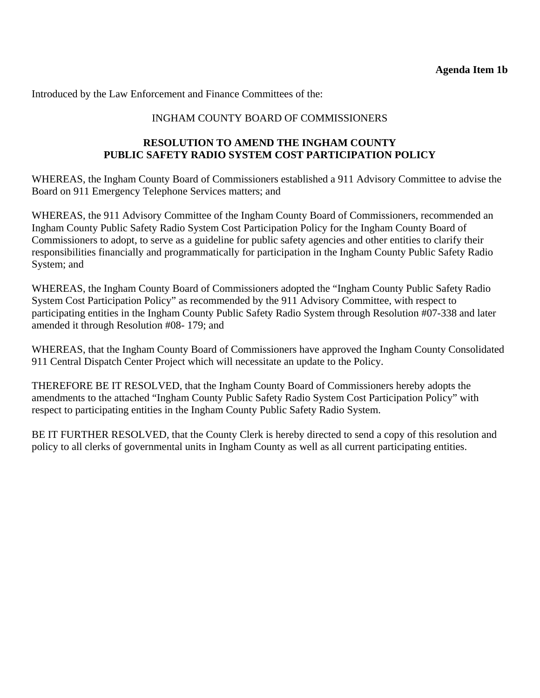### INGHAM COUNTY BOARD OF COMMISSIONERS

#### **RESOLUTION TO AMEND THE INGHAM COUNTY PUBLIC SAFETY RADIO SYSTEM COST PARTICIPATION POLICY**

WHEREAS, the Ingham County Board of Commissioners established a 911 Advisory Committee to advise the Board on 911 Emergency Telephone Services matters; and

WHEREAS, the 911 Advisory Committee of the Ingham County Board of Commissioners, recommended an Ingham County Public Safety Radio System Cost Participation Policy for the Ingham County Board of Commissioners to adopt, to serve as a guideline for public safety agencies and other entities to clarify their responsibilities financially and programmatically for participation in the Ingham County Public Safety Radio System; and

WHEREAS, the Ingham County Board of Commissioners adopted the "Ingham County Public Safety Radio System Cost Participation Policy" as recommended by the 911 Advisory Committee, with respect to participating entities in the Ingham County Public Safety Radio System through Resolution #07-338 and later amended it through Resolution #08- 179; and

WHEREAS, that the Ingham County Board of Commissioners have approved the Ingham County Consolidated 911 Central Dispatch Center Project which will necessitate an update to the Policy.

THEREFORE BE IT RESOLVED, that the Ingham County Board of Commissioners hereby adopts the amendments to the attached "Ingham County Public Safety Radio System Cost Participation Policy" with respect to participating entities in the Ingham County Public Safety Radio System.

BE IT FURTHER RESOLVED, that the County Clerk is hereby directed to send a copy of this resolution and policy to all clerks of governmental units in Ingham County as well as all current participating entities.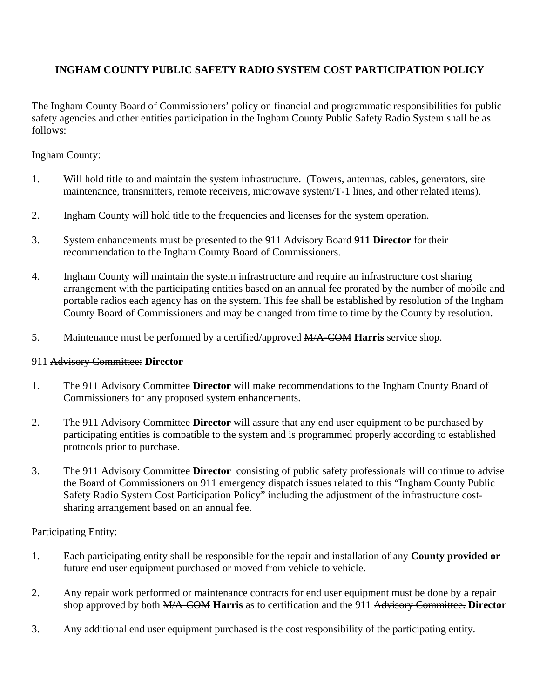# **INGHAM COUNTY PUBLIC SAFETY RADIO SYSTEM COST PARTICIPATION POLICY**

The Ingham County Board of Commissioners' policy on financial and programmatic responsibilities for public safety agencies and other entities participation in the Ingham County Public Safety Radio System shall be as follows:

Ingham County:

- 1. Will hold title to and maintain the system infrastructure. (Towers, antennas, cables, generators, site maintenance, transmitters, remote receivers, microwave system/T-1 lines, and other related items).
- 2. Ingham County will hold title to the frequencies and licenses for the system operation.
- 3. System enhancements must be presented to the 911 Advisory Board **911 Director** for their recommendation to the Ingham County Board of Commissioners.
- 4. Ingham County will maintain the system infrastructure and require an infrastructure cost sharing arrangement with the participating entities based on an annual fee prorated by the number of mobile and portable radios each agency has on the system. This fee shall be established by resolution of the Ingham County Board of Commissioners and may be changed from time to time by the County by resolution.
- 5. Maintenance must be performed by a certified/approved M/A-COM **Harris** service shop.

### 911 Advisory Committee: **Director**

- 1. The 911 Advisory Committee **Director** will make recommendations to the Ingham County Board of Commissioners for any proposed system enhancements.
- 2. The 911 Advisory Committee **Director** will assure that any end user equipment to be purchased by participating entities is compatible to the system and is programmed properly according to established protocols prior to purchase.
- 3. The 911 Advisory Committee **Director** consisting of public safety professionals will continue to advise the Board of Commissioners on 911 emergency dispatch issues related to this "Ingham County Public Safety Radio System Cost Participation Policy" including the adjustment of the infrastructure costsharing arrangement based on an annual fee.

Participating Entity:

- 1. Each participating entity shall be responsible for the repair and installation of any **County provided or** future end user equipment purchased or moved from vehicle to vehicle.
- 2. Any repair work performed or maintenance contracts for end user equipment must be done by a repair shop approved by both M/A-COM **Harris** as to certification and the 911 Advisory Committee. **Director**
- 3. Any additional end user equipment purchased is the cost responsibility of the participating entity.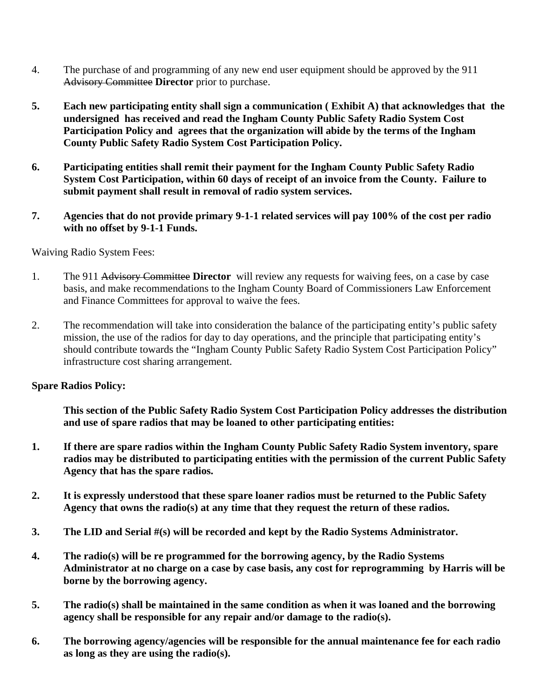- 4. The purchase of and programming of any new end user equipment should be approved by the 911 Advisory Committee **Director** prior to purchase.
- **5. Each new participating entity shall sign a communication ( Exhibit A) that acknowledges that the undersigned has received and read the Ingham County Public Safety Radio System Cost Participation Policy and agrees that the organization will abide by the terms of the Ingham County Public Safety Radio System Cost Participation Policy.**
- **6. Participating entities shall remit their payment for the Ingham County Public Safety Radio System Cost Participation, within 60 days of receipt of an invoice from the County. Failure to submit payment shall result in removal of radio system services.**
- **7. Agencies that do not provide primary 9-1-1 related services will pay 100% of the cost per radio with no offset by 9-1-1 Funds.**

Waiving Radio System Fees:

- 1. The 911 Advisory Committee **Director** will review any requests for waiving fees, on a case by case basis, and make recommendations to the Ingham County Board of Commissioners Law Enforcement and Finance Committees for approval to waive the fees.
- 2. The recommendation will take into consideration the balance of the participating entity's public safety mission, the use of the radios for day to day operations, and the principle that participating entity's should contribute towards the "Ingham County Public Safety Radio System Cost Participation Policy" infrastructure cost sharing arrangement.

#### **Spare Radios Policy:**

**This section of the Public Safety Radio System Cost Participation Policy addresses the distribution and use of spare radios that may be loaned to other participating entities:** 

- **1. If there are spare radios within the Ingham County Public Safety Radio System inventory, spare radios may be distributed to participating entities with the permission of the current Public Safety Agency that has the spare radios.**
- **2. It is expressly understood that these spare loaner radios must be returned to the Public Safety Agency that owns the radio(s) at any time that they request the return of these radios.**
- **3. The LID and Serial #(s) will be recorded and kept by the Radio Systems Administrator.**
- **4. The radio(s) will be re programmed for the borrowing agency, by the Radio Systems Administrator at no charge on a case by case basis, any cost for reprogramming by Harris will be borne by the borrowing agency.**
- **5. The radio(s) shall be maintained in the same condition as when it was loaned and the borrowing agency shall be responsible for any repair and/or damage to the radio(s).**
- **6. The borrowing agency/agencies will be responsible for the annual maintenance fee for each radio as long as they are using the radio(s).**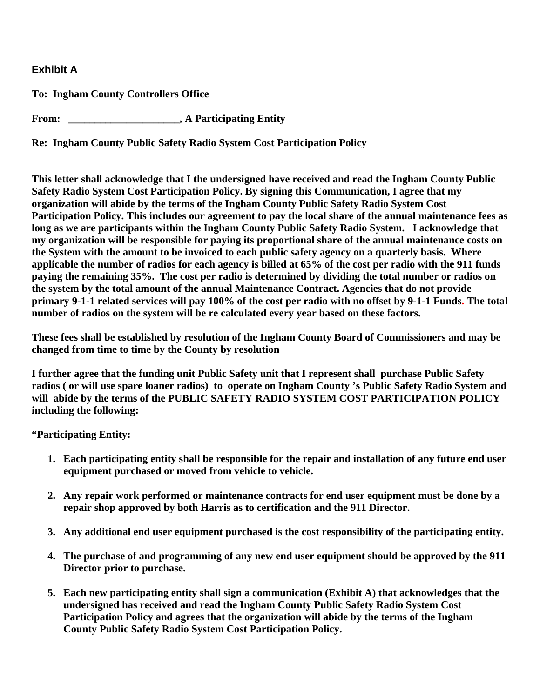# **Exhibit A**

**To: Ingham County Controllers Office** 

**From: \_\_\_\_\_\_\_\_\_\_\_\_\_\_\_\_\_\_\_\_\_, A Participating Entity** 

**Re: Ingham County Public Safety Radio System Cost Participation Policy** 

**This letter shall acknowledge that I the undersigned have received and read the Ingham County Public Safety Radio System Cost Participation Policy. By signing this Communication, I agree that my organization will abide by the terms of the Ingham County Public Safety Radio System Cost Participation Policy. This includes our agreement to pay the local share of the annual maintenance fees as long as we are participants within the Ingham County Public Safety Radio System. I acknowledge that my organization will be responsible for paying its proportional share of the annual maintenance costs on the System with the amount to be invoiced to each public safety agency on a quarterly basis. Where applicable the number of radios for each agency is billed at 65% of the cost per radio with the 911 funds paying the remaining 35%. The cost per radio is determined by dividing the total number or radios on the system by the total amount of the annual Maintenance Contract. Agencies that do not provide primary 9-1-1 related services will pay 100% of the cost per radio with no offset by 9-1-1 Funds. The total number of radios on the system will be re calculated every year based on these factors.** 

**These fees shall be established by resolution of the Ingham County Board of Commissioners and may be changed from time to time by the County by resolution** 

**I further agree that the funding unit Public Safety unit that I represent shall purchase Public Safety radios ( or will use spare loaner radios) to operate on Ingham County 's Public Safety Radio System and will abide by the terms of the PUBLIC SAFETY RADIO SYSTEM COST PARTICIPATION POLICY including the following:** 

**"Participating Entity:** 

- **1. Each participating entity shall be responsible for the repair and installation of any future end user equipment purchased or moved from vehicle to vehicle.**
- **2. Any repair work performed or maintenance contracts for end user equipment must be done by a repair shop approved by both Harris as to certification and the 911 Director.**
- **3. Any additional end user equipment purchased is the cost responsibility of the participating entity.**
- **4. The purchase of and programming of any new end user equipment should be approved by the 911 Director prior to purchase.**
- **5. Each new participating entity shall sign a communication (Exhibit A) that acknowledges that the undersigned has received and read the Ingham County Public Safety Radio System Cost Participation Policy and agrees that the organization will abide by the terms of the Ingham County Public Safety Radio System Cost Participation Policy.**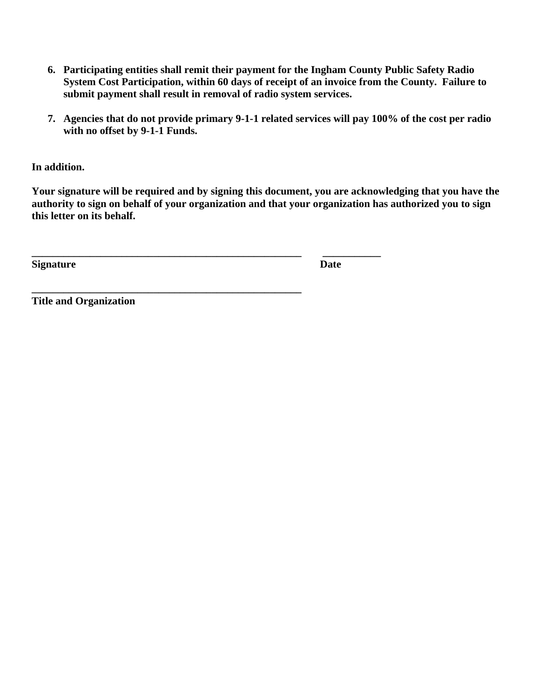- **6. Participating entities shall remit their payment for the Ingham County Public Safety Radio System Cost Participation, within 60 days of receipt of an invoice from the County. Failure to submit payment shall result in removal of radio system services.**
- **7. Agencies that do not provide primary 9-1-1 related services will pay 100% of the cost per radio with no offset by 9-1-1 Funds.**

**In addition.** 

**Your signature will be required and by signing this document, you are acknowledging that you have the authority to sign on behalf of your organization and that your organization has authorized you to sign this letter on its behalf.** 

**\_\_\_\_\_\_\_\_\_\_\_\_\_\_\_\_\_\_\_\_\_\_\_\_\_\_\_\_\_\_\_\_\_\_\_\_\_\_\_\_\_\_\_\_\_\_\_\_\_\_\_ \_\_\_\_\_\_\_\_\_\_\_** 

**\_\_\_\_\_\_\_\_\_\_\_\_\_\_\_\_\_\_\_\_\_\_\_\_\_\_\_\_\_\_\_\_\_\_\_\_\_\_\_\_\_\_\_\_\_\_\_\_\_\_\_** 

**Signature** Date

**Title and Organization**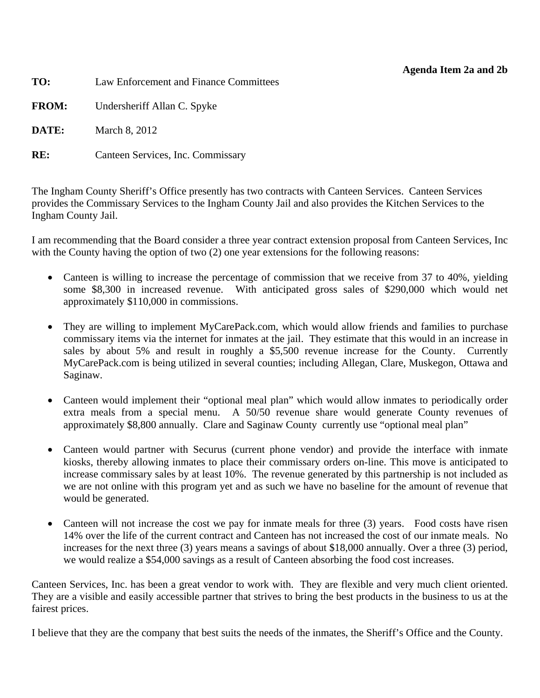#### **Agenda Item 2a and 2b**

| TO:          | Law Enforcement and Finance Committees |
|--------------|----------------------------------------|
| <b>FROM:</b> | Undersheriff Allan C. Spyke            |
| DATE:        | March 8, 2012                          |
| RE:          | Canteen Services, Inc. Commissary      |
|              |                                        |

The Ingham County Sheriff's Office presently has two contracts with Canteen Services. Canteen Services provides the Commissary Services to the Ingham County Jail and also provides the Kitchen Services to the Ingham County Jail.

I am recommending that the Board consider a three year contract extension proposal from Canteen Services, Inc with the County having the option of two (2) one year extensions for the following reasons:

- Canteen is willing to increase the percentage of commission that we receive from 37 to 40%, yielding some \$8,300 in increased revenue. With anticipated gross sales of \$290,000 which would net approximately \$110,000 in commissions.
- They are willing to implement MyCarePack.com, which would allow friends and families to purchase commissary items via the internet for inmates at the jail. They estimate that this would in an increase in sales by about 5% and result in roughly a \$5,500 revenue increase for the County. Currently MyCarePack.com is being utilized in several counties; including Allegan, Clare, Muskegon, Ottawa and Saginaw.
- Canteen would implement their "optional meal plan" which would allow inmates to periodically order extra meals from a special menu. A 50/50 revenue share would generate County revenues of approximately \$8,800 annually. Clare and Saginaw County currently use "optional meal plan"
- Canteen would partner with Securus (current phone vendor) and provide the interface with inmate kiosks, thereby allowing inmates to place their commissary orders on-line. This move is anticipated to increase commissary sales by at least 10%. The revenue generated by this partnership is not included as we are not online with this program yet and as such we have no baseline for the amount of revenue that would be generated.
- Canteen will not increase the cost we pay for inmate meals for three (3) years. Food costs have risen 14% over the life of the current contract and Canteen has not increased the cost of our inmate meals. No increases for the next three (3) years means a savings of about \$18,000 annually. Over a three (3) period, we would realize a \$54,000 savings as a result of Canteen absorbing the food cost increases.

Canteen Services, Inc. has been a great vendor to work with. They are flexible and very much client oriented. They are a visible and easily accessible partner that strives to bring the best products in the business to us at the fairest prices.

I believe that they are the company that best suits the needs of the inmates, the Sheriff's Office and the County.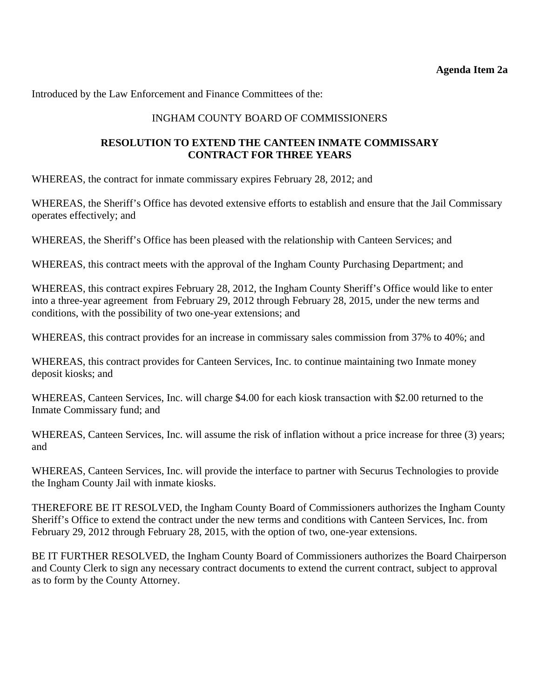### INGHAM COUNTY BOARD OF COMMISSIONERS

#### <span id="page-14-0"></span>**RESOLUTION TO EXTEND THE CANTEEN INMATE COMMISSARY CONTRACT FOR THREE YEARS**

WHEREAS, the contract for inmate commissary expires February 28, 2012; and

WHEREAS, the Sheriff's Office has devoted extensive efforts to establish and ensure that the Jail Commissary operates effectively; and

WHEREAS, the Sheriff's Office has been pleased with the relationship with Canteen Services; and

WHEREAS, this contract meets with the approval of the Ingham County Purchasing Department; and

WHEREAS, this contract expires February 28, 2012, the Ingham County Sheriff's Office would like to enter into a three-year agreement from February 29, 2012 through February 28, 2015, under the new terms and conditions, with the possibility of two one-year extensions; and

WHEREAS, this contract provides for an increase in commissary sales commission from 37% to 40%; and

WHEREAS, this contract provides for Canteen Services, Inc. to continue maintaining two Inmate money deposit kiosks; and

WHEREAS, Canteen Services, Inc. will charge \$4.00 for each kiosk transaction with \$2.00 returned to the Inmate Commissary fund; and

WHEREAS, Canteen Services, Inc. will assume the risk of inflation without a price increase for three (3) years; and

WHEREAS, Canteen Services, Inc. will provide the interface to partner with Securus Technologies to provide the Ingham County Jail with inmate kiosks.

THEREFORE BE IT RESOLVED, the Ingham County Board of Commissioners authorizes the Ingham County Sheriff's Office to extend the contract under the new terms and conditions with Canteen Services, Inc. from February 29, 2012 through February 28, 2015, with the option of two, one-year extensions.

BE IT FURTHER RESOLVED, the Ingham County Board of Commissioners authorizes the Board Chairperson and County Clerk to sign any necessary contract documents to extend the current contract, subject to approval as to form by the County Attorney.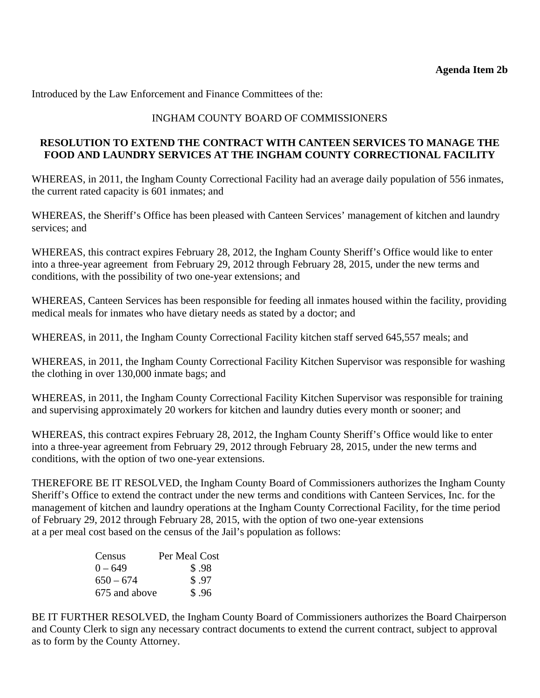# INGHAM COUNTY BOARD OF COMMISSIONERS

### <span id="page-15-0"></span>**RESOLUTION TO EXTEND THE CONTRACT WITH CANTEEN SERVICES TO MANAGE THE FOOD AND LAUNDRY SERVICES AT THE INGHAM COUNTY CORRECTIONAL FACILITY**

WHEREAS, in 2011, the Ingham County Correctional Facility had an average daily population of 556 inmates, the current rated capacity is 601 inmates; and

WHEREAS, the Sheriff's Office has been pleased with Canteen Services' management of kitchen and laundry services; and

WHEREAS, this contract expires February 28, 2012, the Ingham County Sheriff's Office would like to enter into a three-year agreement from February 29, 2012 through February 28, 2015, under the new terms and conditions, with the possibility of two one-year extensions; and

WHEREAS, Canteen Services has been responsible for feeding all inmates housed within the facility, providing medical meals for inmates who have dietary needs as stated by a doctor; and

WHEREAS, in 2011, the Ingham County Correctional Facility kitchen staff served 645,557 meals; and

WHEREAS, in 2011, the Ingham County Correctional Facility Kitchen Supervisor was responsible for washing the clothing in over 130,000 inmate bags; and

WHEREAS, in 2011, the Ingham County Correctional Facility Kitchen Supervisor was responsible for training and supervising approximately 20 workers for kitchen and laundry duties every month or sooner; and

WHEREAS, this contract expires February 28, 2012, the Ingham County Sheriff's Office would like to enter into a three-year agreement from February 29, 2012 through February 28, 2015, under the new terms and conditions, with the option of two one-year extensions.

THEREFORE BE IT RESOLVED, the Ingham County Board of Commissioners authorizes the Ingham County Sheriff's Office to extend the contract under the new terms and conditions with Canteen Services, Inc. for the management of kitchen and laundry operations at the Ingham County Correctional Facility, for the time period of February 29, 2012 through February 28, 2015, with the option of two one-year extensions at a per meal cost based on the census of the Jail's population as follows:

| Census        | Per Meal Cost |
|---------------|---------------|
| $0 - 649$     | \$.98         |
| $650 - 674$   | \$.97         |
| 675 and above | \$.96         |

BE IT FURTHER RESOLVED, the Ingham County Board of Commissioners authorizes the Board Chairperson and County Clerk to sign any necessary contract documents to extend the current contract, subject to approval as to form by the County Attorney.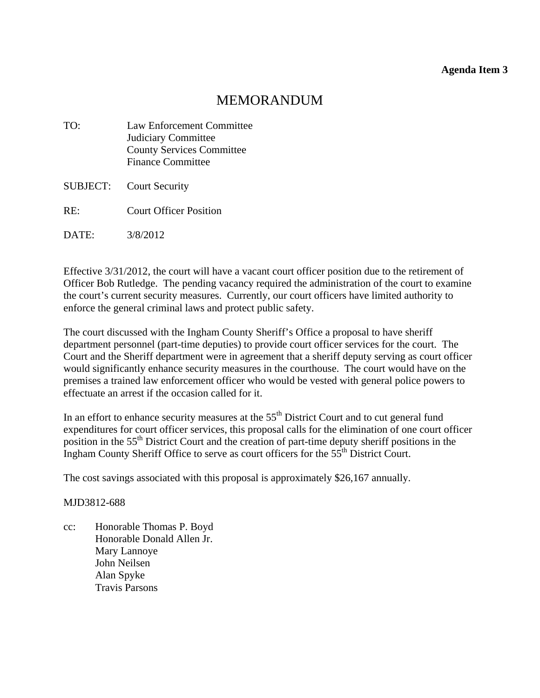#### **Agenda Item 3**

# MEMORANDUM

<span id="page-16-0"></span>

| TO:      | <b>Law Enforcement Committee</b> |  |
|----------|----------------------------------|--|
|          | Judiciary Committee              |  |
|          | <b>County Services Committee</b> |  |
|          | <b>Finance Committee</b>         |  |
| SUBJECT: | <b>Court Security</b>            |  |
| RE:      | <b>Court Officer Position</b>    |  |
|          |                                  |  |

DATE: 3/8/2012

Effective 3/31/2012, the court will have a vacant court officer position due to the retirement of Officer Bob Rutledge. The pending vacancy required the administration of the court to examine the court's current security measures. Currently, our court officers have limited authority to enforce the general criminal laws and protect public safety.

The court discussed with the Ingham County Sheriff's Office a proposal to have sheriff department personnel (part-time deputies) to provide court officer services for the court. The Court and the Sheriff department were in agreement that a sheriff deputy serving as court officer would significantly enhance security measures in the courthouse. The court would have on the premises a trained law enforcement officer who would be vested with general police powers to effectuate an arrest if the occasion called for it.

In an effort to enhance security measures at the 55<sup>th</sup> District Court and to cut general fund expenditures for court officer services, this proposal calls for the elimination of one court officer position in the 55<sup>th</sup> District Court and the creation of part-time deputy sheriff positions in the Ingham County Sheriff Office to serve as court officers for the 55th District Court.

The cost savings associated with this proposal is approximately \$26,167 annually.

MJD3812-688

cc: Honorable Thomas P. Boyd Honorable Donald Allen Jr. Mary Lannoye John Neilsen Alan Spyke Travis Parsons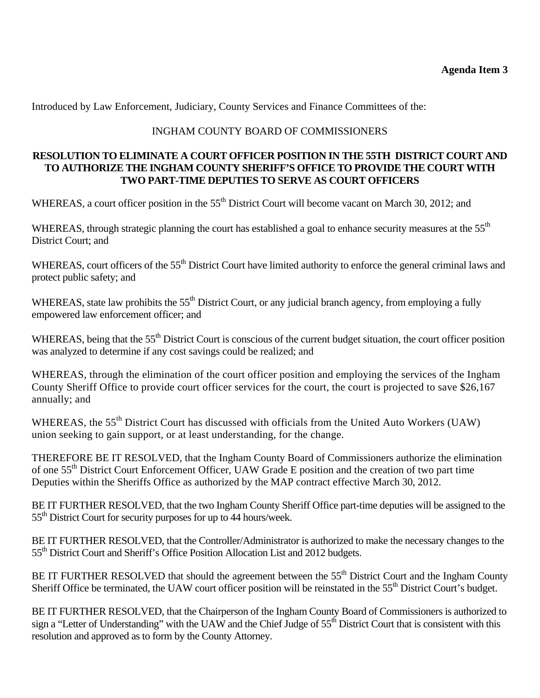### **Agenda Item 3**

Introduced by Law Enforcement, Judiciary, County Services and Finance Committees of the:

## INGHAM COUNTY BOARD OF COMMISSIONERS

#### **RESOLUTION TO ELIMINATE A COURT OFFICER POSITION IN THE 55TH DISTRICT COURT AND TO AUTHORIZE THE INGHAM COUNTY SHERIFF'S OFFICE TO PROVIDE THE COURT WITH TWO PART-TIME DEPUTIES TO SERVE AS COURT OFFICERS**

WHEREAS, a court officer position in the 55<sup>th</sup> District Court will become vacant on March 30, 2012; and

WHEREAS, through strategic planning the court has established a goal to enhance security measures at the 55<sup>th</sup> District Court; and

WHEREAS, court officers of the 55<sup>th</sup> District Court have limited authority to enforce the general criminal laws and protect public safety; and

WHEREAS, state law prohibits the 55<sup>th</sup> District Court, or any judicial branch agency, from employing a fully empowered law enforcement officer; and

WHEREAS, being that the 55<sup>th</sup> District Court is conscious of the current budget situation, the court officer position was analyzed to determine if any cost savings could be realized; and

WHEREAS, through the elimination of the court officer position and employing the services of the Ingham County Sheriff Office to provide court officer services for the court, the court is projected to save \$26,167 annually; and

WHEREAS, the 55<sup>th</sup> District Court has discussed with officials from the United Auto Workers (UAW) union seeking to gain support, or at least understanding, for the change.

THEREFORE BE IT RESOLVED, that the Ingham County Board of Commissioners authorize the elimination of one 55th District Court Enforcement Officer, UAW Grade E position and the creation of two part time Deputies within the Sheriffs Office as authorized by the MAP contract effective March 30, 2012.

BE IT FURTHER RESOLVED, that the two Ingham County Sheriff Office part-time deputies will be assigned to the 55<sup>th</sup> District Court for security purposes for up to 44 hours/week.

BE IT FURTHER RESOLVED, that the Controller/Administrator is authorized to make the necessary changes to the 55<sup>th</sup> District Court and Sheriff's Office Position Allocation List and 2012 budgets.

BE IT FURTHER RESOLVED that should the agreement between the 55<sup>th</sup> District Court and the Ingham County Sheriff Office be terminated, the UAW court officer position will be reinstated in the 55<sup>th</sup> District Court's budget.

BE IT FURTHER RESOLVED, that the Chairperson of the Ingham County Board of Commissioners is authorized to sign a "Letter of Understanding" with the UAW and the Chief Judge of  $55<sup>th</sup>$  District Court that is consistent with this resolution and approved as to form by the County Attorney.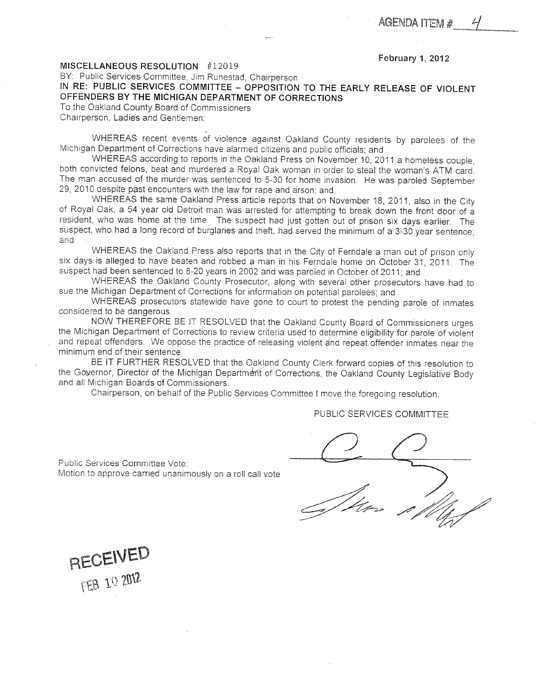—\*■—JjL»««maw,l™,

#### February 1, 2012

#### <span id="page-18-0"></span>MISCELLANEOUS RESOLUTION #12019

BY: Public Services Committee, Jim Runestad, Chairperson

IN RE: PUBLIC SERVICES COMMITTEE - OPPOSITION TO THE EARLY RELEASE OF VIOLENT OFFENDERS BY THE MICHIGAN DEPARTMENT OF CORRECTIONS

To the Oakland County Board of Commissioners Chairperson, Ladies and Gentlemen:

WHEREAS recent events of violence against Oakland County residents by parolees of the Michigan Department of Corrections have alarmed citizens and public officials; and

WHEREAS according to reports in the Oakland Press on November 10, 2011 a homeless couple, both convicted felons, beat and murdered a Royal Oak woman in order to steal the woman's ATM card. The man accused of the murder was sentenced to 5-30 for home invasion. He was paroled September 29, 2010 despite past encounters with the law for rape and arson; and

WHEREAS the same Oakland Press article reports that on November 18, 2011, also in the City of Royal Oak, a 54 year old Detroit man was arrested for attempting to break down the front door of a resident, who was home at the time. The suspect had just gotten out of prison six days earlier. The suspect, who had a long record of burglaries and theft, had served the minimum of a 3-30 year sentence; and

WHEREAS the Oakland Press also reports that in the City of Ferndale a man out of prison only six days is alleged to have beaten and robbed a man in his Ferndale home on October 31, 2011. The suspect had been sentenced to 8-20 years in 2002 and was paroled in October of 2011; and

WHEREAS the Oakland County Prosecutor, along with several other prosecutors have had to sue the Michigan Department of Corrections for information on potential parolees; and

WHEREAS prosecutors statewide have gone to court to protest the pending parole of inmates considered to be dangerous.

NOW THEREFORE BE IT RESOLVED that the Oakland County Board of Commissioners urges the Michigan Department of Corrections to review criteria used to determine eligibility for parole of violent and repeat offenders. We oppose the practice of releasing violent and repeat offender inmates near the minimum end of their sentence.

BE IT FURTHER RESOLVED that the Oakland County Clerk forward copies of this resolution to the Governor, Director of the Michigan Department of Corrections, the Oakland County Legislative Body and all Michigan Boards of Commissioners.

Chairperson, on behalf of the Public Services Committee I move the foregoing resolution.

PUBLIC SERVICES COMMITTEE

Public Services Committee Vote: Motion to approve carried unanimously on a roll call vote